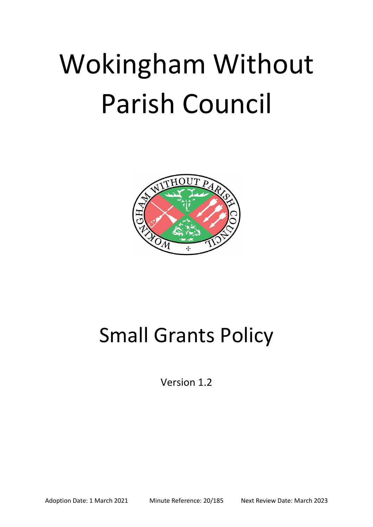# Wokingham Without Parish Council



# Small Grants Policy

Version 1.2